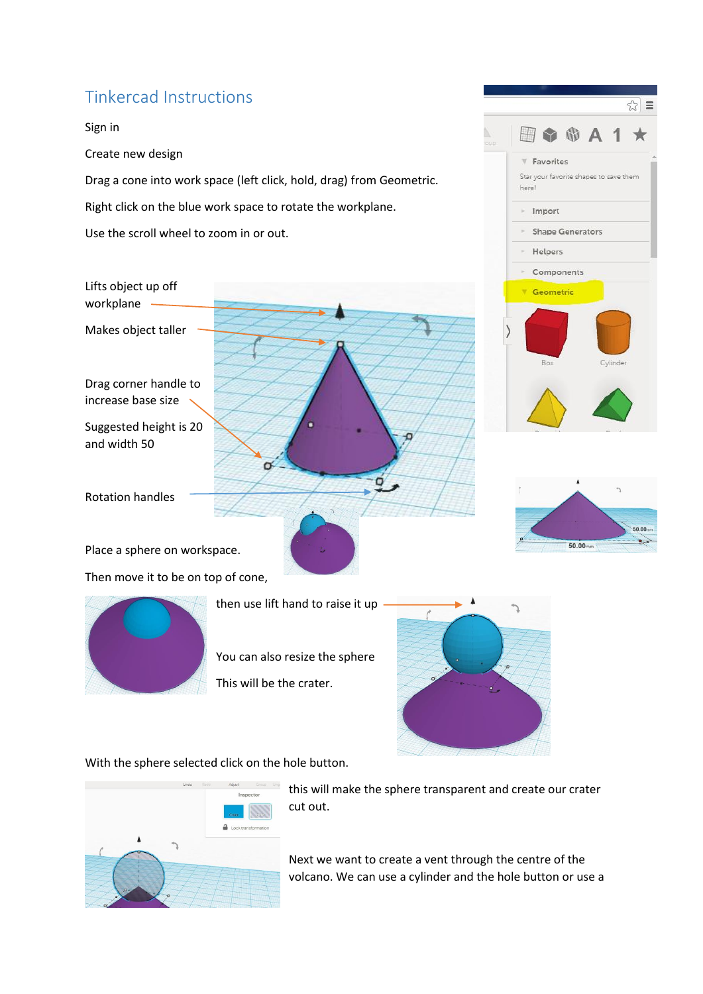## Tinkercad Instructions

Sign in Create new design Drag a cone into work space (left click, hold, drag) from Geometric. Right click on the blue work space to rotate the workplane. Use the scroll wheel to zoom in or out.

Lifts object up off workplane

Makes object taller

Drag corner handle to increase base size

Suggested height is 20 and width 50

Rotation handles

Place a sphere on workspace. Then move it to be on top of cone,



then use lift hand to raise it up

σ

You can also resize the sphere This will be the crater.



With the sphere selected click on the hole button.



this will make the sphere transparent and create our crater cut out.

Next we want to create a vent through the centre of the volcano. We can use a cylinder and the hole button or use a



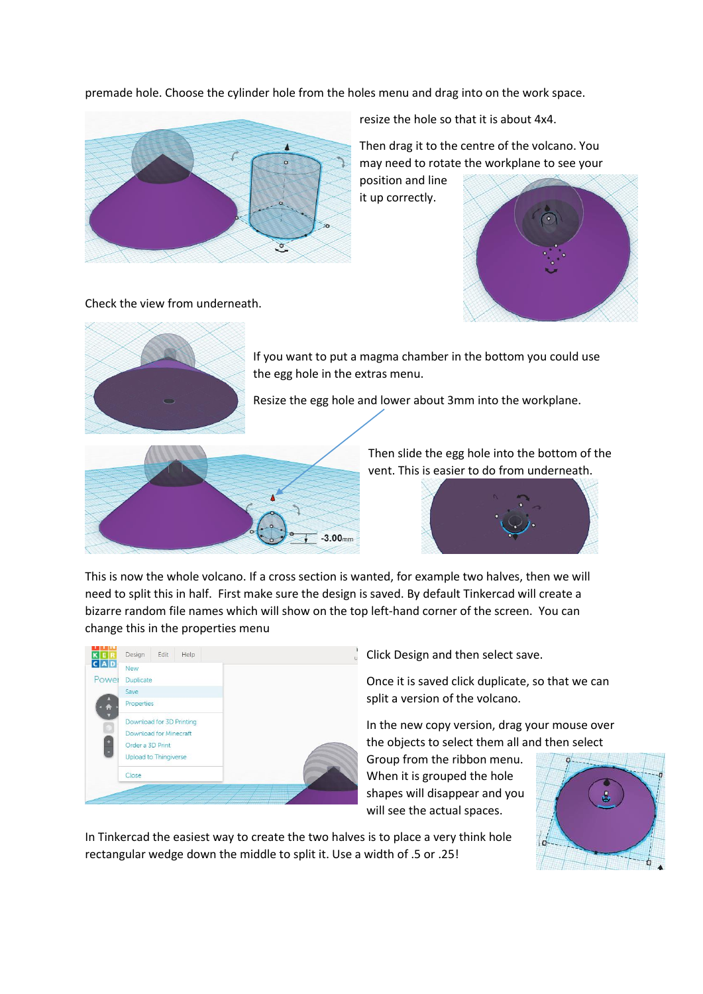premade hole. Choose the cylinder hole from the holes menu and drag into on the work space.



resize the hole so that it is about 4x4.

Then drag it to the centre of the volcano. You may need to rotate the workplane to see your

position and line it up correctly.



Check the view from underneath.



If you want to put a magma chamber in the bottom you could use the egg hole in the extras menu.

Resize the egg hole and lower about 3mm into the workplane.



Then slide the egg hole into the bottom of the vent. This is easier to do from underneath.



This is now the whole volcano. If a cross section is wanted, for example two halves, then we will need to split this in half. First make sure the design is saved. By default Tinkercad will create a bizarre random file names which will show on the top left-hand corner of the screen. You can change this in the properties menu



Click Design and then select save.

Once it is saved click duplicate, so that we can split a version of the volcano.

In the new copy version, drag your mouse over the objects to select them all and then select

Group from the ribbon menu. When it is grouped the hole shapes will disappear and you will see the actual spaces.



In Tinkercad the easiest way to create the two halves is to place a very think hole rectangular wedge down the middle to split it. Use a width of .5 or .25!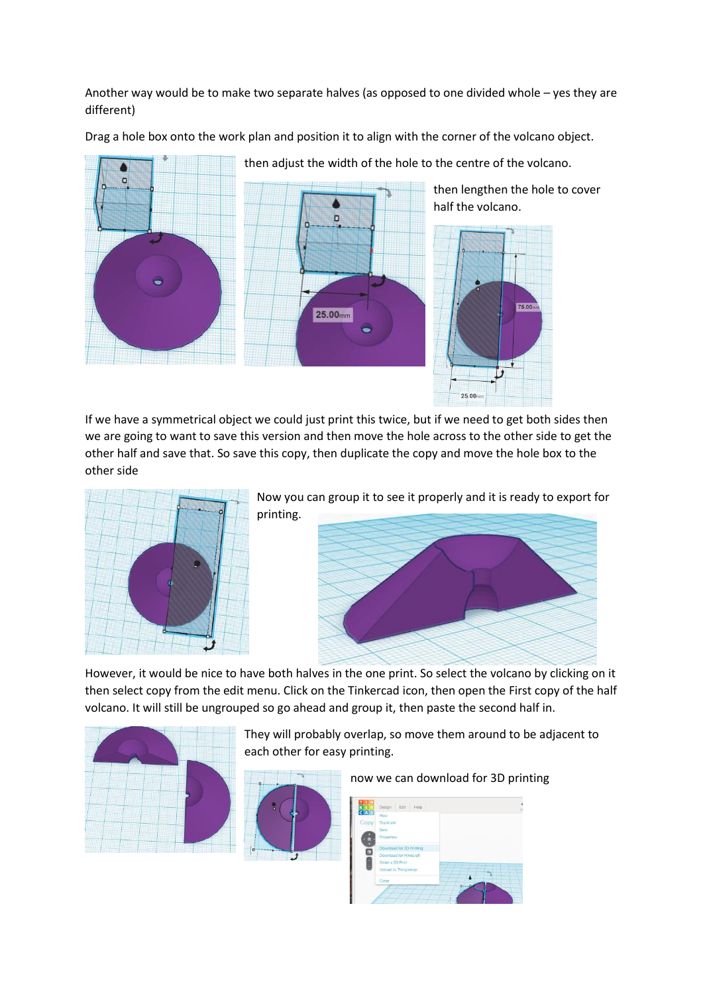Another way would be to make two separate halves (as opposed to one divided whole – yes they are different)

Drag a hole box onto the work plan and position it to align with the corner of the volcano object.



then adjust the width of the hole to the centre of the volcano.

then lengthen the hole to cover half the volcano.



If we have a symmetrical object we could just print this twice, but if we need to get both sides then we are going to want to save this version and then move the hole across to the other side to get the other half and save that. So save this copy, then duplicate the copy and move the hole box to the other side



Now you can group it to see it properly and it is ready to export for printing.



However, it would be nice to have both halves in the one print. So select the volcano by clicking on it then select copy from the edit menu. Click on the Tinkercad icon, then open the First copy of the half volcano. It will still be ungrouped so go ahead and group it, then paste the second half in.



They will probably overlap, so move them around to be adjacent to each other for easy printing.